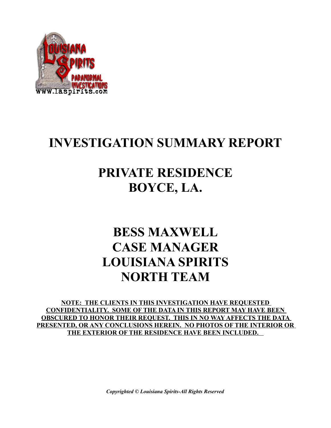

## **INVESTIGATION SUMMARY REPORT**

### **PRIVATE RESIDENCE BOYCE, LA.**

## **BESS MAXWELL CASE MANAGER LOUISIANA SPIRITS NORTH TEAM**

**NOTE: THE CLIENTS IN THIS INVESTIGATION HAVE REQUESTED CONFIDENTIALITY. SOME OF THE DATA IN THIS REPORT MAY HAVE BEEN OBSCURED TO HONOR THEIR REQUEST. THIS IN NO WAY AFFECTS THE DATA PRESENTED, OR ANY CONCLUSIONS HEREIN. NO PHOTOS OF THE INTERIOR OR THE EXTERIOR OF THE RESIDENCE HAVE BEEN INCLUDED.** 

*Copyrighted © Louisiana Spirits-All Rights Reserved*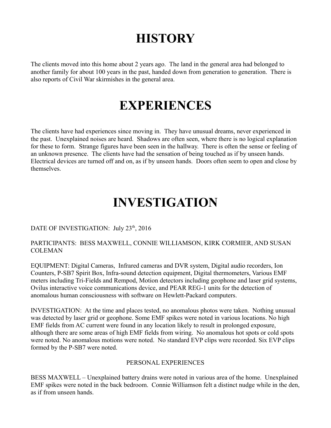# **HISTORY**

The clients moved into this home about 2 years ago. The land in the general area had belonged to another family for about 100 years in the past, handed down from generation to generation. There is also reports of Civil War skirmishes in the general area.

### **EXPERIENCES**

The clients have had experiences since moving in. They have unusual dreams, never experienced in the past. Unexplained noises are heard. Shadows are often seen, where there is no logical explanation for these to form. Strange figures have been seen in the hallway. There is often the sense or feeling of an unknown presence. The clients have had the sensation of being touched as if by unseen hands. Electrical devices are turned off and on, as if by unseen hands. Doors often seem to open and close by themselves.

### **INVESTIGATION**

#### DATE OF INVESTIGATION: July 23<sup>th</sup>, 2016

#### PARTICIPANTS: BESS MAXWELL, CONNIE WILLIAMSON, KIRK CORMIER, AND SUSAN COLEMAN

EQUIPMENT: Digital Cameras, Infrared cameras and DVR system, Digital audio recorders, Ion Counters, P-SB7 Spirit Box, Infra-sound detection equipment, Digital thermometers, Various EMF meters including Tri-Fields and Rempod, Motion detectors including geophone and laser grid systems, Ovilus interactive voice communications device, and PEAR REG-1 units for the detection of anomalous human consciousness with software on Hewlett-Packard computers.

INVESTIGATION: At the time and places tested, no anomalous photos were taken. Nothing unusual was detected by laser grid or geophone. Some EMF spikes were noted in various locations. No high EMF fields from AC current were found in any location likely to result in prolonged exposure, although there are some areas of high EMF fields from wiring. No anomalous hot spots or cold spots were noted. No anomalous motions were noted. No standard EVP clips were recorded. Six EVP clips formed by the P-SB7 were noted.

#### PERSONAL EXPERIENCES

BESS MAXWELL – Unexplained battery drains were noted in various area of the home. Unexplained EMF spikes were noted in the back bedroom. Connie Williamson felt a distinct nudge while in the den, as if from unseen hands.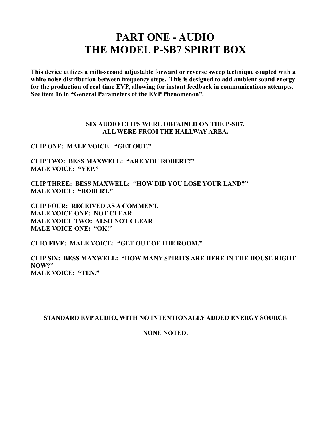### **PART ONE - AUDIO THE MODEL P-SB7 SPIRIT BOX**

**This device utilizes a milli-second adjustable forward or reverse sweep technique coupled with a white noise distribution between frequency steps. This is designed to add ambient sound energy for the production of real time EVP, allowing for instant feedback in communications attempts. See item 16 in "General Parameters of the EVP Phenomenon".** 

#### **SIX AUDIO CLIPS WERE OBTAINED ON THE P-SB7. ALL WERE FROM THE HALLWAY AREA.**

**CLIP ONE: MALE VOICE: "GET OUT."**

**CLIP TWO: BESS MAXWELL: "ARE YOU ROBERT?" MALE VOICE: "YEP."**

**CLIP THREE: BESS MAXWELL: "HOW DID YOU LOSE YOUR LAND?" MALE VOICE: "ROBERT."**

**CLIP FOUR: RECEIVED AS A COMMENT. MALE VOICE ONE: NOT CLEAR MALE VOICE TWO: ALSO NOT CLEAR MALE VOICE ONE: "OK!"**

**CLIO FIVE: MALE VOICE: "GET OUT OF THE ROOM."**

**CLIP SIX: BESS MAXWELL: "HOW MANY SPIRITS ARE HERE IN THE HOUSE RIGHT NOW?" MALE VOICE: "TEN."**

#### **STANDARD EVP AUDIO, WITH NO INTENTIONALLY ADDED ENERGY SOURCE**

**NONE NOTED.**